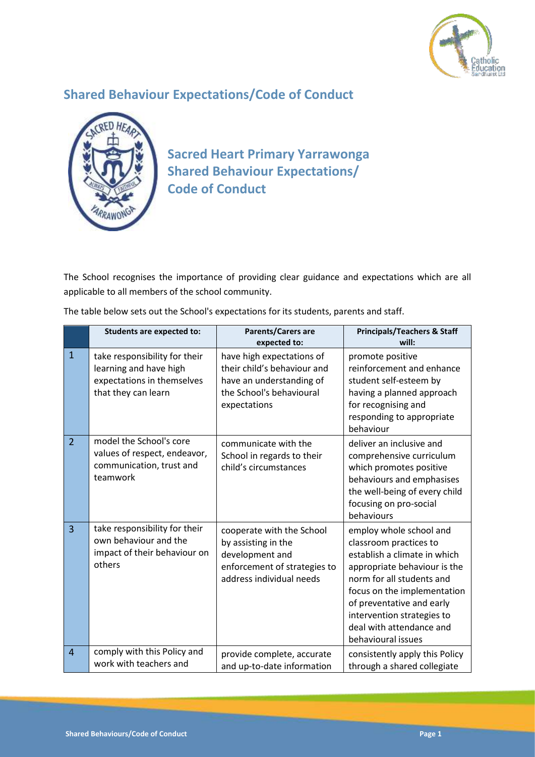

## **Shared Behaviour Expectations/Code of Conduct**



**Sacred Heart Primary Yarrawonga Shared Behaviour Expectations/ Code of Conduct**

The School recognises the importance of providing clear guidance and expectations which are all applicable to all members of the school community.

|                | <b>Students are expected to:</b>                                                                             | Parents/Carers are<br>expected to:                                                                                               | <b>Principals/Teachers &amp; Staff</b><br>will:                                                                                                                                                                                                                                            |
|----------------|--------------------------------------------------------------------------------------------------------------|----------------------------------------------------------------------------------------------------------------------------------|--------------------------------------------------------------------------------------------------------------------------------------------------------------------------------------------------------------------------------------------------------------------------------------------|
| $\mathbf{1}$   | take responsibility for their<br>learning and have high<br>expectations in themselves<br>that they can learn | have high expectations of<br>their child's behaviour and<br>have an understanding of<br>the School's behavioural<br>expectations | promote positive<br>reinforcement and enhance<br>student self-esteem by<br>having a planned approach<br>for recognising and<br>responding to appropriate<br>behaviour                                                                                                                      |
| $\overline{2}$ | model the School's core<br>values of respect, endeavor,<br>communication, trust and<br>teamwork              | communicate with the<br>School in regards to their<br>child's circumstances                                                      | deliver an inclusive and<br>comprehensive curriculum<br>which promotes positive<br>behaviours and emphasises<br>the well-being of every child<br>focusing on pro-social<br>behaviours                                                                                                      |
| $\overline{3}$ | take responsibility for their<br>own behaviour and the<br>impact of their behaviour on<br>others             | cooperate with the School<br>by assisting in the<br>development and<br>enforcement of strategies to<br>address individual needs  | employ whole school and<br>classroom practices to<br>establish a climate in which<br>appropriate behaviour is the<br>norm for all students and<br>focus on the implementation<br>of preventative and early<br>intervention strategies to<br>deal with attendance and<br>behavioural issues |
| $\overline{4}$ | comply with this Policy and<br>work with teachers and                                                        | provide complete, accurate<br>and up-to-date information                                                                         | consistently apply this Policy<br>through a shared collegiate                                                                                                                                                                                                                              |

The table below sets out the School's expectations for its students, parents and staff.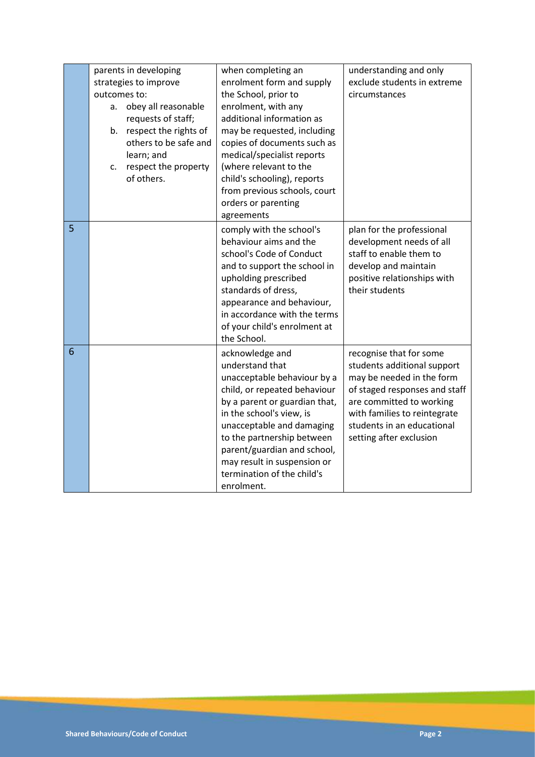|                 | parents in developing<br>strategies to improve<br>outcomes to:<br>a. obey all reasonable<br>requests of staff;<br>b. respect the rights of<br>others to be safe and<br>learn; and<br>respect the property<br>c.<br>of others. | when completing an<br>enrolment form and supply<br>the School, prior to<br>enrolment, with any<br>additional information as<br>may be requested, including<br>copies of documents such as<br>medical/specialist reports<br>(where relevant to the<br>child's schooling), reports<br>from previous schools, court<br>orders or parenting<br>agreements | understanding and only<br>exclude students in extreme<br>circumstances                                                                                                                                                                    |
|-----------------|-------------------------------------------------------------------------------------------------------------------------------------------------------------------------------------------------------------------------------|-------------------------------------------------------------------------------------------------------------------------------------------------------------------------------------------------------------------------------------------------------------------------------------------------------------------------------------------------------|-------------------------------------------------------------------------------------------------------------------------------------------------------------------------------------------------------------------------------------------|
| $\overline{5}$  |                                                                                                                                                                                                                               | comply with the school's<br>behaviour aims and the<br>school's Code of Conduct<br>and to support the school in<br>upholding prescribed<br>standards of dress,<br>appearance and behaviour,<br>in accordance with the terms<br>of your child's enrolment at<br>the School.                                                                             | plan for the professional<br>development needs of all<br>staff to enable them to<br>develop and maintain<br>positive relationships with<br>their students                                                                                 |
| $6\phantom{1}6$ |                                                                                                                                                                                                                               | acknowledge and<br>understand that<br>unacceptable behaviour by a<br>child, or repeated behaviour<br>by a parent or guardian that,<br>in the school's view, is<br>unacceptable and damaging<br>to the partnership between<br>parent/guardian and school,<br>may result in suspension or<br>termination of the child's<br>enrolment.                   | recognise that for some<br>students additional support<br>may be needed in the form<br>of staged responses and staff<br>are committed to working<br>with families to reintegrate<br>students in an educational<br>setting after exclusion |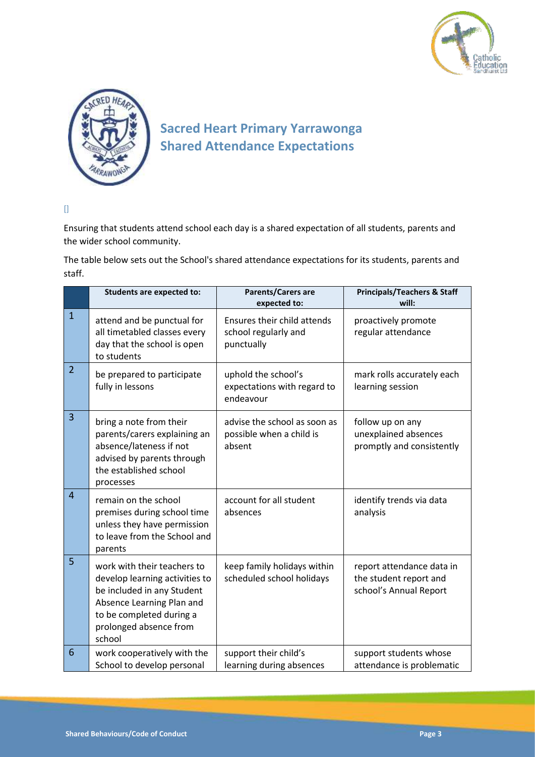



## **Sacred Heart Primary Yarrawonga Shared Attendance Expectations**

 $\hfill$ 

Ensuring that students attend school each day is a shared expectation of all students, parents and the wider school community.

The table below sets out the School's shared attendance expectations for its students, parents and staff.

|                | <b>Students are expected to:</b>                                                                                                                                                         | Parents/Carers are<br>expected to:                                 | <b>Principals/Teachers &amp; Staff</b><br>will:                               |
|----------------|------------------------------------------------------------------------------------------------------------------------------------------------------------------------------------------|--------------------------------------------------------------------|-------------------------------------------------------------------------------|
| $\mathbf{1}$   | attend and be punctual for<br>all timetabled classes every<br>day that the school is open<br>to students                                                                                 | Ensures their child attends<br>school regularly and<br>punctually  | proactively promote<br>regular attendance                                     |
| $\overline{2}$ | be prepared to participate<br>fully in lessons                                                                                                                                           | uphold the school's<br>expectations with regard to<br>endeavour    | mark rolls accurately each<br>learning session                                |
| 3              | bring a note from their<br>parents/carers explaining an<br>absence/lateness if not<br>advised by parents through<br>the established school<br>processes                                  | advise the school as soon as<br>possible when a child is<br>absent | follow up on any<br>unexplained absences<br>promptly and consistently         |
| $\overline{4}$ | remain on the school<br>premises during school time<br>unless they have permission<br>to leave from the School and<br>parents                                                            | account for all student<br>absences                                | identify trends via data<br>analysis                                          |
| 5              | work with their teachers to<br>develop learning activities to<br>be included in any Student<br>Absence Learning Plan and<br>to be completed during a<br>prolonged absence from<br>school | keep family holidays within<br>scheduled school holidays           | report attendance data in<br>the student report and<br>school's Annual Report |
| 6              | work cooperatively with the<br>School to develop personal                                                                                                                                | support their child's<br>learning during absences                  | support students whose<br>attendance is problematic                           |